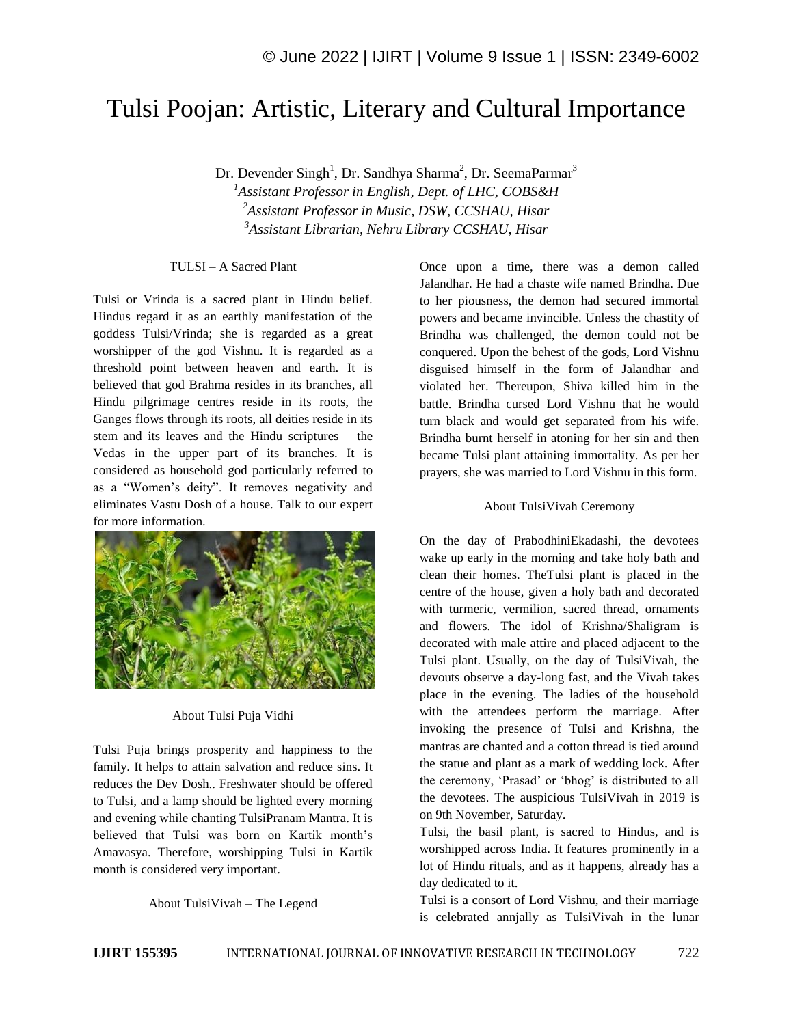# Tulsi Poojan: Artistic, Literary and Cultural Importance

Dr. Devender Singh<sup>1</sup>, Dr. Sandhya Sharma<sup>2</sup>, Dr. SeemaParmar<sup>3</sup>

*<sup>1</sup>Assistant Professor in English, Dept. of LHC, COBS&H <sup>2</sup>Assistant Professor in Music, DSW, CCSHAU, Hisar <sup>3</sup>Assistant Librarian, Nehru Library CCSHAU, Hisar*

#### TULSI – A Sacred Plant

Tulsi or Vrinda is a sacred plant in Hindu belief. Hindus regard it as an earthly manifestation of the goddess Tulsi/Vrinda; she is regarded as a great worshipper of the god Vishnu. It is regarded as a threshold point between heaven and earth. It is believed that god Brahma resides in its branches, all Hindu pilgrimage centres reside in its roots, the Ganges flows through its roots, all deities reside in its stem and its leaves and the Hindu scriptures – the Vedas in the upper part of its branches. It is considered as household god particularly referred to as a "Women"s deity". It removes negativity and eliminates Vastu Dosh of a house. Talk to our expert for more information.



#### About Tulsi Puja Vidhi

Tulsi Puja brings prosperity and happiness to the family. It helps to attain salvation and reduce sins. It reduces the Dev Dosh.. Freshwater should be offered to Tulsi, and a lamp should be lighted every morning and evening while chanting TulsiPranam Mantra. It is believed that Tulsi was born on Kartik month"s Amavasya. Therefore, worshipping Tulsi in Kartik month is considered very important.

About TulsiVivah – The Legend

Once upon a time, there was a demon called Jalandhar. He had a chaste wife named Brindha. Due to her piousness, the demon had secured immortal powers and became invincible. Unless the chastity of Brindha was challenged, the demon could not be conquered. Upon the behest of the gods, Lord Vishnu disguised himself in the form of Jalandhar and violated her. Thereupon, Shiva killed him in the battle. Brindha cursed Lord Vishnu that he would turn black and would get separated from his wife. Brindha burnt herself in atoning for her sin and then became Tulsi plant attaining immortality. As per her prayers, she was married to Lord Vishnu in this form.

### About TulsiVivah Ceremony

On the day of PrabodhiniEkadashi, the devotees wake up early in the morning and take holy bath and clean their homes. TheTulsi plant is placed in the centre of the house, given a holy bath and decorated with turmeric, vermilion, sacred thread, ornaments and flowers. The idol of Krishna/Shaligram is decorated with male attire and placed adjacent to the Tulsi plant. Usually, on the day of TulsiVivah, the devouts observe a day-long fast, and the Vivah takes place in the evening. The ladies of the household with the attendees perform the marriage. After invoking the presence of Tulsi and Krishna, the mantras are chanted and a cotton thread is tied around the statue and plant as a mark of wedding lock. After the ceremony, 'Prasad' or 'bhog' is distributed to all the devotees. The auspicious TulsiVivah in 2019 is on 9th November, Saturday.

Tulsi, the basil plant, is sacred to Hindus, and is worshipped across India. It features prominently in a lot of Hindu rituals, and as it happens, already has a day dedicated to it.

Tulsi is a consort of Lord Vishnu, and their marriage is celebrated annjally as TulsiVivah in the lunar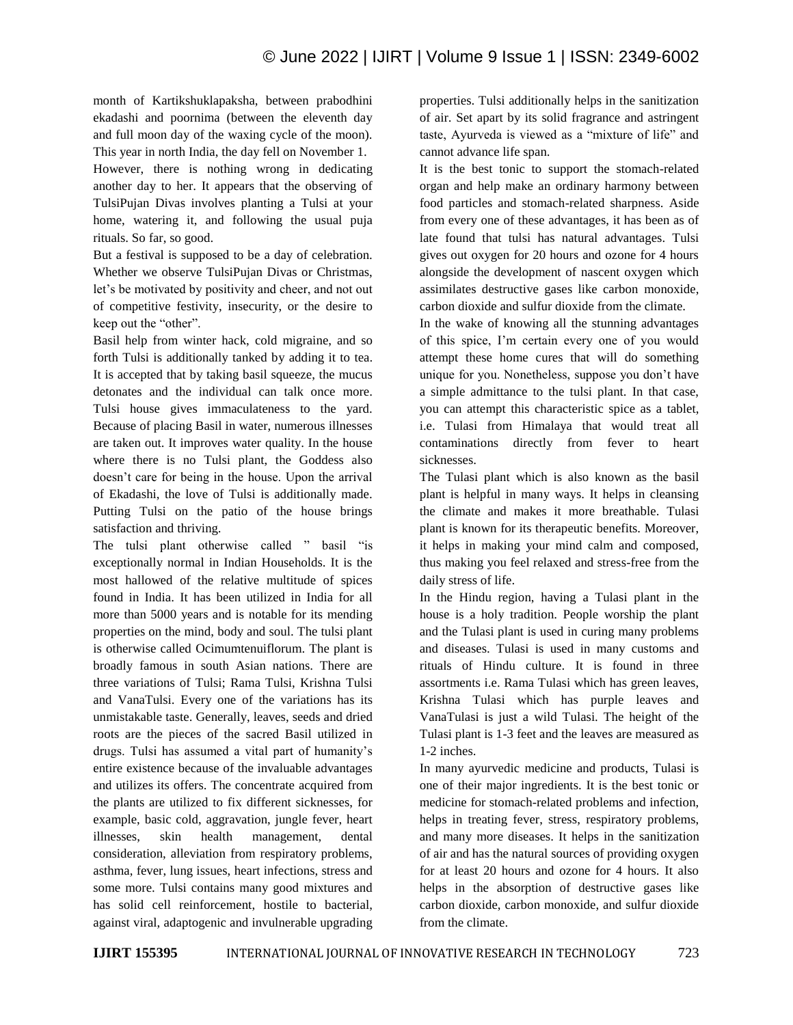month of Kartikshuklapaksha, between prabodhini ekadashi and poornima (between the eleventh day and full moon day of the waxing cycle of the moon). This year in north India, the day fell on November 1.

However, there is nothing wrong in dedicating another day to her. It appears that the observing of TulsiPujan Divas involves planting a Tulsi at your home, watering it, and following the usual puja rituals. So far, so good.

But a festival is supposed to be a day of celebration. Whether we observe TulsiPujan Divas or Christmas, let"s be motivated by positivity and cheer, and not out of competitive festivity, insecurity, or the desire to keep out the "other".

Basil help from winter hack, cold migraine, and so forth Tulsi is additionally tanked by adding it to tea. It is accepted that by taking basil squeeze, the mucus detonates and the individual can talk once more. Tulsi house gives immaculateness to the yard. Because of placing Basil in water, numerous illnesses are taken out. It improves water quality. In the house where there is no Tulsi plant, the Goddess also doesn't care for being in the house. Upon the arrival of Ekadashi, the love of Tulsi is additionally made. Putting Tulsi on the patio of the house brings satisfaction and thriving.

The tulsi plant otherwise called " basil "is exceptionally normal in Indian Households. It is the most hallowed of the relative multitude of spices found in India. It has been utilized in India for all more than 5000 years and is notable for its mending properties on the mind, body and soul. The tulsi plant is otherwise called Ocimumtenuiflorum. The plant is broadly famous in south Asian nations. There are three variations of Tulsi; Rama Tulsi, Krishna Tulsi and VanaTulsi. Every one of the variations has its unmistakable taste. Generally, leaves, seeds and dried roots are the pieces of the sacred Basil utilized in drugs. Tulsi has assumed a vital part of humanity"s entire existence because of the invaluable advantages and utilizes its offers. The concentrate acquired from the plants are utilized to fix different sicknesses, for example, basic cold, aggravation, jungle fever, heart illnesses, skin health management, dental consideration, alleviation from respiratory problems, asthma, fever, lung issues, heart infections, stress and some more. Tulsi contains many good mixtures and has solid cell reinforcement, hostile to bacterial, against viral, adaptogenic and invulnerable upgrading properties. Tulsi additionally helps in the sanitization of air. Set apart by its solid fragrance and astringent taste, Ayurveda is viewed as a "mixture of life" and cannot advance life span.

It is the best tonic to support the stomach-related organ and help make an ordinary harmony between food particles and stomach-related sharpness. Aside from every one of these advantages, it has been as of late found that tulsi has natural advantages. Tulsi gives out oxygen for 20 hours and ozone for 4 hours alongside the development of nascent oxygen which assimilates destructive gases like carbon monoxide, carbon dioxide and sulfur dioxide from the climate.

In the wake of knowing all the stunning advantages of this spice, I"m certain every one of you would attempt these home cures that will do something unique for you. Nonetheless, suppose you don"t have a simple admittance to the tulsi plant. In that case, you can attempt this characteristic spice as a tablet, i.e. Tulasi from Himalaya that would treat all contaminations directly from fever to heart sicknesses.

The Tulasi plant which is also known as the basil plant is helpful in many ways. It helps in cleansing the climate and makes it more breathable. Tulasi plant is known for its therapeutic benefits. Moreover, it helps in making your mind calm and composed, thus making you feel relaxed and stress-free from the daily stress of life.

In the Hindu region, having a Tulasi plant in the house is a holy tradition. People worship the plant and the Tulasi plant is used in curing many problems and diseases. Tulasi is used in many customs and rituals of Hindu culture. It is found in three assortments i.e. Rama Tulasi which has green leaves, Krishna Tulasi which has purple leaves and VanaTulasi is just a wild Tulasi. The height of the Tulasi plant is 1-3 feet and the leaves are measured as 1-2 inches.

In many ayurvedic medicine and products, Tulasi is one of their major ingredients. It is the best tonic or medicine for stomach-related problems and infection, helps in treating fever, stress, respiratory problems, and many more diseases. It helps in the sanitization of air and has the natural sources of providing oxygen for at least 20 hours and ozone for 4 hours. It also helps in the absorption of destructive gases like carbon dioxide, carbon monoxide, and sulfur dioxide from the climate.